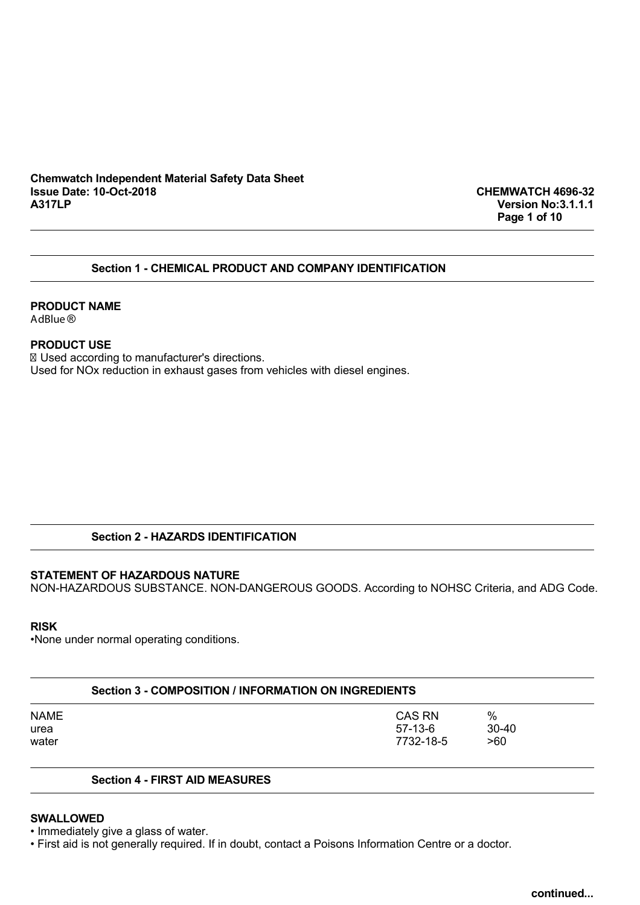### **Chemwatch Independent Material Safety Data Sheet Issue Date: 10-Oct-2018 CHEMWATCH 4696-32**

**A317LP Version No:3.1.1.1 Page 1 of 10**

### **Section 1 - CHEMICAL PRODUCT AND COMPANY IDENTIFICATION**

### **PRODUCT NAME**

AdBlue ®

### **PRODUCT USE**

Used according to manufacturer's directions. Used for NOx reduction in exhaust gases from vehicles with diesel engines.

### **Section 2 - HAZARDS IDENTIFICATION**

### **STATEMENT OF HAZARDOUS NATURE**

NON-HAZARDOUS SUBSTANCE. NON-DANGEROUS GOODS. According to NOHSC Criteria, and ADG Code.

### **RISK**

•None under normal operating conditions.

| Section 3 - COMPOSITION / INFORMATION ON INGREDIENTS |                                  |                     |  |
|------------------------------------------------------|----------------------------------|---------------------|--|
| NAME<br>urea<br>water                                | CAS RN<br>$57-13-6$<br>7732-18-5 | %<br>$30-40$<br>>60 |  |
|                                                      |                                  |                     |  |

### **Section 4 - FIRST AID MEASURES**

### **SWALLOWED**

• Immediately give a glass of water.

• First aid is not generally required. If in doubt, contact a Poisons Information Centre or a doctor.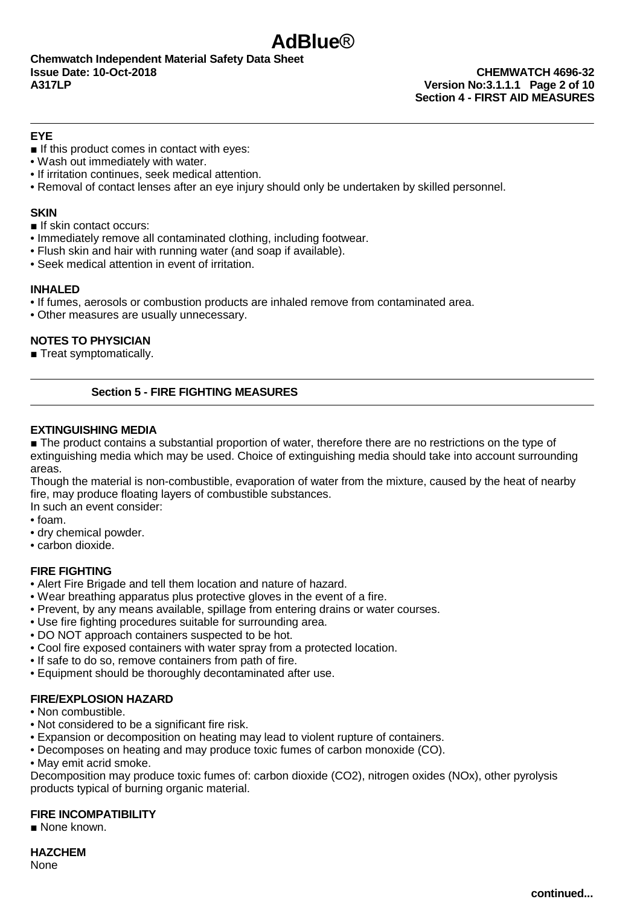# **Section 4 - FIRST AID MEASURES**

### **EYE**

- If this product comes in contact with eyes:
- Wash out immediately with water.
- If irritation continues, seek medical attention.
- Removal of contact lenses after an eye injury should only be undertaken by skilled personnel.

**AdBlue**®

### **SKIN**

■ If skin contact occurs:

- Immediately remove all contaminated clothing, including footwear.
- Flush skin and hair with running water (and soap if available).
- Seek medical attention in event of irritation.

### **INHALED**

- If fumes, aerosols or combustion products are inhaled remove from contaminated area.
- Other measures are usually unnecessary.

### **NOTES TO PHYSICIAN**

■ Treat symptomatically.

### **Section 5 - FIRE FIGHTING MEASURES**

### **EXTINGUISHING MEDIA**

■ The product contains a substantial proportion of water, therefore there are no restrictions on the type of extinguishing media which may be used. Choice of extinguishing media should take into account surrounding areas.

Though the material is non-combustible, evaporation of water from the mixture, caused by the heat of nearby fire, may produce floating layers of combustible substances.

In such an event consider:

- foam.
- dry chemical powder.
- carbon dioxide.

### **FIRE FIGHTING**

- Alert Fire Brigade and tell them location and nature of hazard.
- Wear breathing apparatus plus protective gloves in the event of a fire.
- Prevent, by any means available, spillage from entering drains or water courses.
- Use fire fighting procedures suitable for surrounding area.
- DO NOT approach containers suspected to be hot.
- Cool fire exposed containers with water spray from a protected location.
- If safe to do so, remove containers from path of fire.
- Equipment should be thoroughly decontaminated after use.

### **FIRE/EXPLOSION HAZARD**

### • Non combustible.

- Not considered to be a significant fire risk.
- Expansion or decomposition on heating may lead to violent rupture of containers.
- Decomposes on heating and may produce toxic fumes of carbon monoxide (CO).
- May emit acrid smoke.

Decomposition may produce toxic fumes of: carbon dioxide (CO2), nitrogen oxides (NOx), other pyrolysis products typical of burning organic material.

### **FIRE INCOMPATIBILITY**

■ None known.

**HAZCHEM** None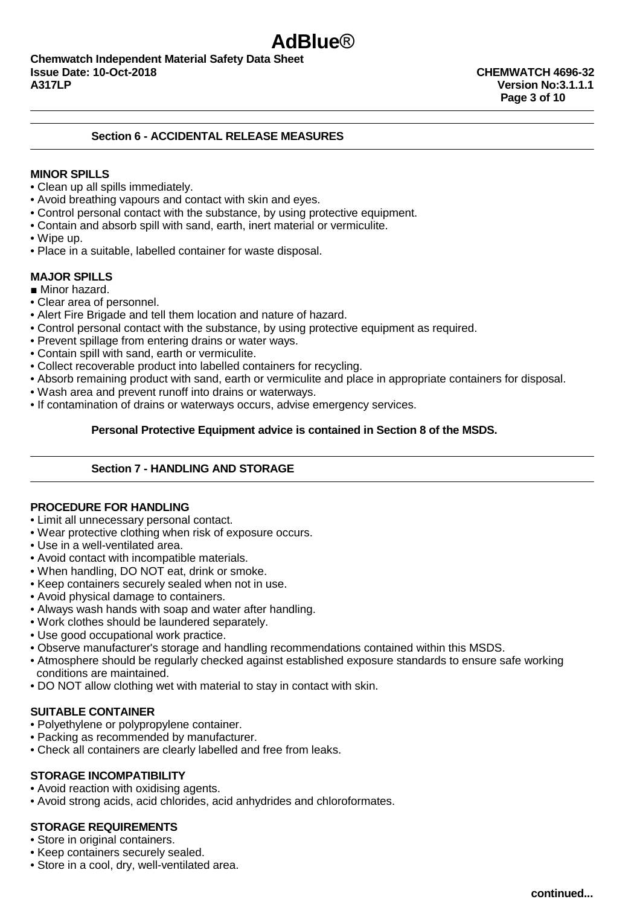**Chemwatch Independent Material Safety Data Sheet Issue Date: 10-Oct-2018 CHEMWATCH 4696-32 A317LP Version No:3.1.1.1**

### **Section 6 - ACCIDENTAL RELEASE MEASURES**

### **MINOR SPILLS**

- Clean up all spills immediately.
- Avoid breathing vapours and contact with skin and eyes.
- Control personal contact with the substance, by using protective equipment.
- Contain and absorb spill with sand, earth, inert material or vermiculite.
- Wipe up.
- Place in a suitable, labelled container for waste disposal.

### **MAJOR SPILLS**

- Minor hazard.
- Clear area of personnel.
- Alert Fire Brigade and tell them location and nature of hazard.
- Control personal contact with the substance, by using protective equipment as required.
- Prevent spillage from entering drains or water ways.
- Contain spill with sand, earth or vermiculite.
- Collect recoverable product into labelled containers for recycling.
- Absorb remaining product with sand, earth or vermiculite and place in appropriate containers for disposal.
- Wash area and prevent runoff into drains or waterways.
- If contamination of drains or waterways occurs, advise emergency services.

### **Personal Protective Equipment advice is contained in Section 8 of the MSDS.**

### **Section 7 - HANDLING AND STORAGE**

### **PROCEDURE FOR HANDLING**

- Limit all unnecessary personal contact.
- Wear protective clothing when risk of exposure occurs.
- Use in a well-ventilated area.
- Avoid contact with incompatible materials.
- When handling, DO NOT eat, drink or smoke.
- Keep containers securely sealed when not in use.
- Avoid physical damage to containers.
- Always wash hands with soap and water after handling.
- Work clothes should be laundered separately.
- Use good occupational work practice.
- Observe manufacturer's storage and handling recommendations contained within this MSDS.
- Atmosphere should be regularly checked against established exposure standards to ensure safe working conditions are maintained.
- DO NOT allow clothing wet with material to stay in contact with skin.

### **SUITABLE CONTAINER**

- Polyethylene or polypropylene container.
- Packing as recommended by manufacturer.
- Check all containers are clearly labelled and free from leaks.

### **STORAGE INCOMPATIBILITY**

- Avoid reaction with oxidising agents.
- Avoid strong acids, acid chlorides, acid anhydrides and chloroformates.

### **STORAGE REQUIREMENTS**

- Store in original containers.
- Keep containers securely sealed.
- Store in a cool, dry, well-ventilated area.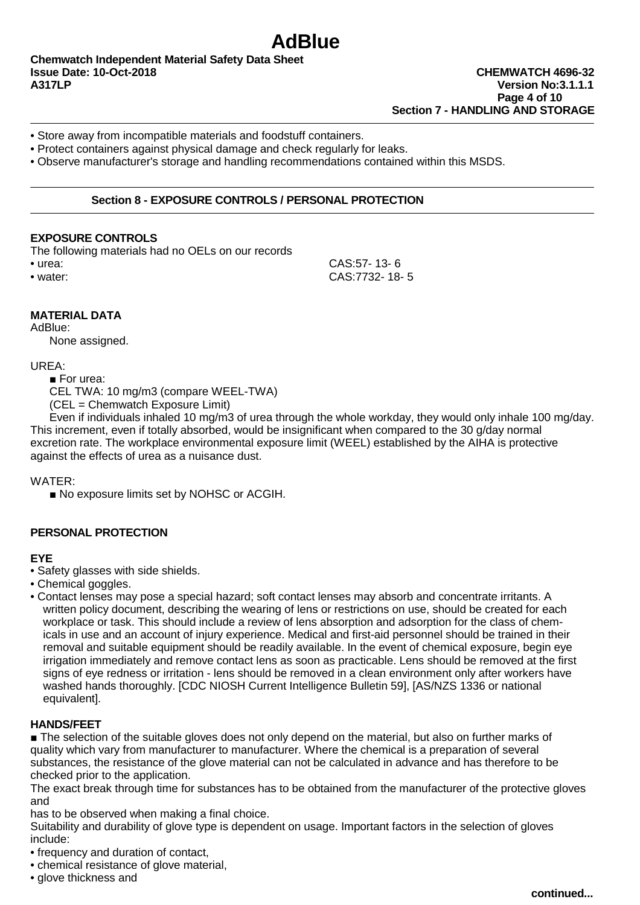**Chemwatch Independent Material Safety Data Sheet Issue Date: 10-Oct-2018 CHEMWATCH 4696-32 A317LP Version No:3.1.1.1** 

## **Page 4 of 10 Section 7 - HANDLING AND STORAGE**

- Store away from incompatible materials and foodstuff containers.
- Protect containers against physical damage and check regularly for leaks.

• Observe manufacturer's storage and handling recommendations contained within this MSDS.

### **Section 8 - EXPOSURE CONTROLS / PERSONAL PROTECTION**

### **EXPOSURE CONTROLS**

The following materials had no OELs on our records

• urea: CAS:57- 13- 6 • water: CAS:7732- 18- 5

### **MATERIAL DATA**

AdBlue:

None assigned.

### UREA:

■ For urea:

CEL TWA: 10 mg/m3 (compare WEEL-TWA)

(CEL = Chemwatch Exposure Limit)

Even if individuals inhaled 10 mg/m3 of urea through the whole workday, they would only inhale 100 mg/day. This increment, even if totally absorbed, would be insignificant when compared to the 30 g/day normal excretion rate. The workplace environmental exposure limit (WEEL) established by the AIHA is protective against the effects of urea as a nuisance dust.

WATER:

■ No exposure limits set by NOHSC or ACGIH.

### **PERSONAL PROTECTION**

### **EYE**

- Safety glasses with side shields.
- Chemical goggles.
- Contact lenses may pose a special hazard; soft contact lenses may absorb and concentrate irritants. A written policy document, describing the wearing of lens or restrictions on use, should be created for each workplace or task. This should include a review of lens absorption and adsorption for the class of chemicals in use and an account of injury experience. Medical and first-aid personnel should be trained in their removal and suitable equipment should be readily available. In the event of chemical exposure, begin eye irrigation immediately and remove contact lens as soon as practicable. Lens should be removed at the first signs of eye redness or irritation - lens should be removed in a clean environment only after workers have washed hands thoroughly. [CDC NIOSH Current Intelligence Bulletin 59], [AS/NZS 1336 or national equivalent].

### **HANDS/FEET**

■ The selection of the suitable gloves does not only depend on the material, but also on further marks of quality which vary from manufacturer to manufacturer. Where the chemical is a preparation of several substances, the resistance of the glove material can not be calculated in advance and has therefore to be checked prior to the application.

The exact break through time for substances has to be obtained from the manufacturer of the protective gloves and

has to be observed when making a final choice.

Suitability and durability of glove type is dependent on usage. Important factors in the selection of gloves include:

• frequency and duration of contact,

- chemical resistance of glove material.
- glove thickness and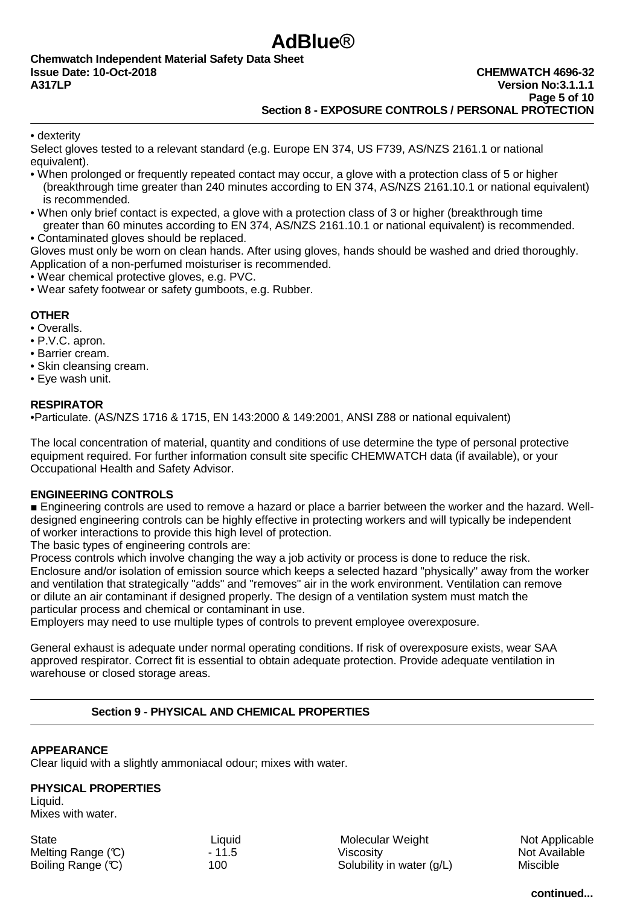### **AdBlue**® **Chemwatch Independent Material Safety Data Sheet**

• dexterity

Select gloves tested to a relevant standard (e.g. Europe EN 374, US F739, AS/NZS 2161.1 or national equivalent).

- When prolonged or frequently repeated contact may occur, a glove with a protection class of 5 or higher (breakthrough time greater than 240 minutes according to EN 374, AS/NZS 2161.10.1 or national equivalent) is recommended.
- When only brief contact is expected, a glove with a protection class of 3 or higher (breakthrough time greater than 60 minutes according to EN 374, AS/NZS 2161.10.1 or national equivalent) is recommended.
- Contaminated gloves should be replaced.

Gloves must only be worn on clean hands. After using gloves, hands should be washed and dried thoroughly. Application of a non-perfumed moisturiser is recommended.

- Wear chemical protective gloves, e.g. PVC.
- Wear safety footwear or safety gumboots, e.g. Rubber.

### **OTHER**

- Overalls.
- P.V.C. apron.
- Barrier cream.
- Skin cleansing cream.
- Eye wash unit.

### **RESPIRATOR**

•Particulate. (AS/NZS 1716 & 1715, EN 143:2000 & 149:2001, ANSI Z88 or national equivalent)

The local concentration of material, quantity and conditions of use determine the type of personal protective equipment required. For further information consult site specific CHEMWATCH data (if available), or your Occupational Health and Safety Advisor.

### **ENGINEERING CONTROLS**

■ Engineering controls are used to remove a hazard or place a barrier between the worker and the hazard. Welldesigned engineering controls can be highly effective in protecting workers and will typically be independent of worker interactions to provide this high level of protection.

The basic types of engineering controls are:

Process controls which involve changing the way a job activity or process is done to reduce the risk. Enclosure and/or isolation of emission source which keeps a selected hazard "physically" away from the worker and ventilation that strategically "adds" and "removes" air in the work environment. Ventilation can remove or dilute an air contaminant if designed properly. The design of a ventilation system must match the particular process and chemical or contaminant in use.

Employers may need to use multiple types of controls to prevent employee overexposure.

General exhaust is adequate under normal operating conditions. If risk of overexposure exists, wear SAA approved respirator. Correct fit is essential to obtain adequate protection. Provide adequate ventilation in warehouse or closed storage areas.

### **Section 9 - PHYSICAL AND CHEMICAL PROPERTIES**

### **APPEARANCE**

Clear liquid with a slightly ammoniacal odour; mixes with water.

### **PHYSICAL PROPERTIES**

Liquid. Mixes with water.

State Case Ciquid Ciquid Charles Molecular Weight Not Applicable Melting Range (C)  $-11.5$  Viscosity Not Available Boiling Range (°C) 100 100 Solubility in water (g/L) Miscible

**continued...**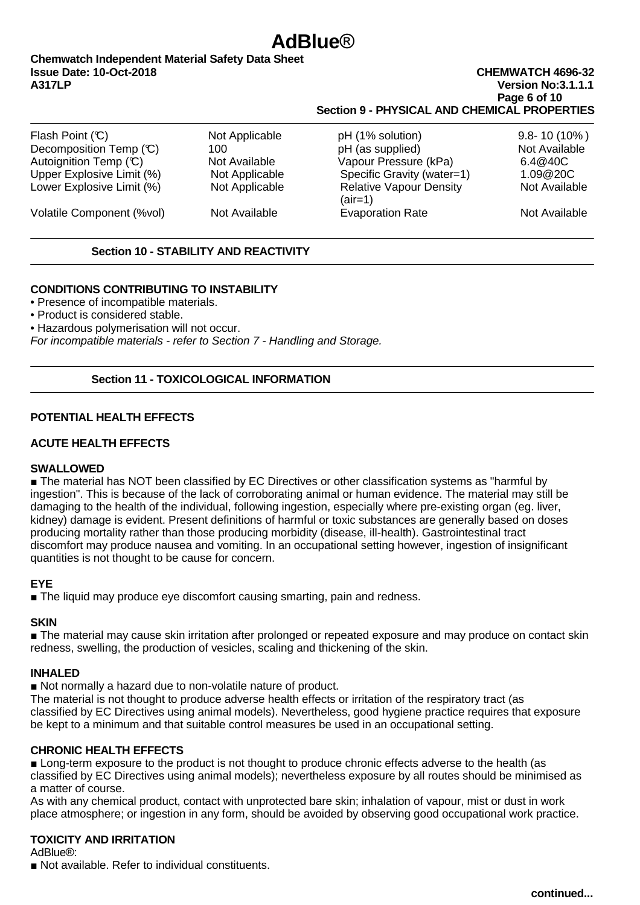### **AdBlue**®

### **Chemwatch Independent Material Safety Data Sheet Issue Date: 10-Oct-2018 CHEMWATCH 4696-32**

### **A317LP Version No:3.1.1.1 Page 6 of 10 Section 9 - PHYSICAL AND CHEMICAL PROPERTIES**

| Flash Point $(C)$         | Not Applicable | pH (1% solution)                            | $9.8 - 10(10\%)$ |
|---------------------------|----------------|---------------------------------------------|------------------|
| Decomposition Temp (C)    | 100            | pH (as supplied)                            | Not Available    |
| Autoignition Temp (°C)    | Not Available  | Vapour Pressure (kPa)                       | 6.4@40C          |
| Upper Explosive Limit (%) | Not Applicable | Specific Gravity (water=1)                  | 1.09@20C         |
| Lower Explosive Limit (%) | Not Applicable | <b>Relative Vapour Density</b><br>$(air=1)$ | Not Available    |
| Volatile Component (%vol) | Not Available  | <b>Evaporation Rate</b>                     | Not Available    |

### **Section 10 - STABILITY AND REACTIVITY**

### **CONDITIONS CONTRIBUTING TO INSTABILITY**

• Presence of incompatible materials.

• Product is considered stable.

• Hazardous polymerisation will not occur.

For incompatible materials - refer to Section 7 - Handling and Storage.

### **Section 11 - TOXICOLOGICAL INFORMATION**

### **POTENTIAL HEALTH EFFECTS**

### **ACUTE HEALTH EFFECTS**

### **SWALLOWED**

■ The material has NOT been classified by EC Directives or other classification systems as "harmful by ingestion". This is because of the lack of corroborating animal or human evidence. The material may still be damaging to the health of the individual, following ingestion, especially where pre-existing organ (eg. liver, kidney) damage is evident. Present definitions of harmful or toxic substances are generally based on doses producing mortality rather than those producing morbidity (disease, ill-health). Gastrointestinal tract discomfort may produce nausea and vomiting. In an occupational setting however, ingestion of insignificant quantities is not thought to be cause for concern.

### **EYE**

■ The liquid may produce eye discomfort causing smarting, pain and redness.

### **SKIN**

■ The material may cause skin irritation after prolonged or repeated exposure and may produce on contact skin redness, swelling, the production of vesicles, scaling and thickening of the skin.

### **INHALED**

■ Not normally a hazard due to non-volatile nature of product.

The material is not thought to produce adverse health effects or irritation of the respiratory tract (as classified by EC Directives using animal models). Nevertheless, good hygiene practice requires that exposure be kept to a minimum and that suitable control measures be used in an occupational setting.

### **CHRONIC HEALTH EFFECTS**

■ Long-term exposure to the product is not thought to produce chronic effects adverse to the health (as classified by EC Directives using animal models); nevertheless exposure by all routes should be minimised as a matter of course.

As with any chemical product, contact with unprotected bare skin; inhalation of vapour, mist or dust in work place atmosphere; or ingestion in any form, should be avoided by observing good occupational work practice.

### **TOXICITY AND IRRITATION**

AdBlue®:

■ Not available. Refer to individual constituents.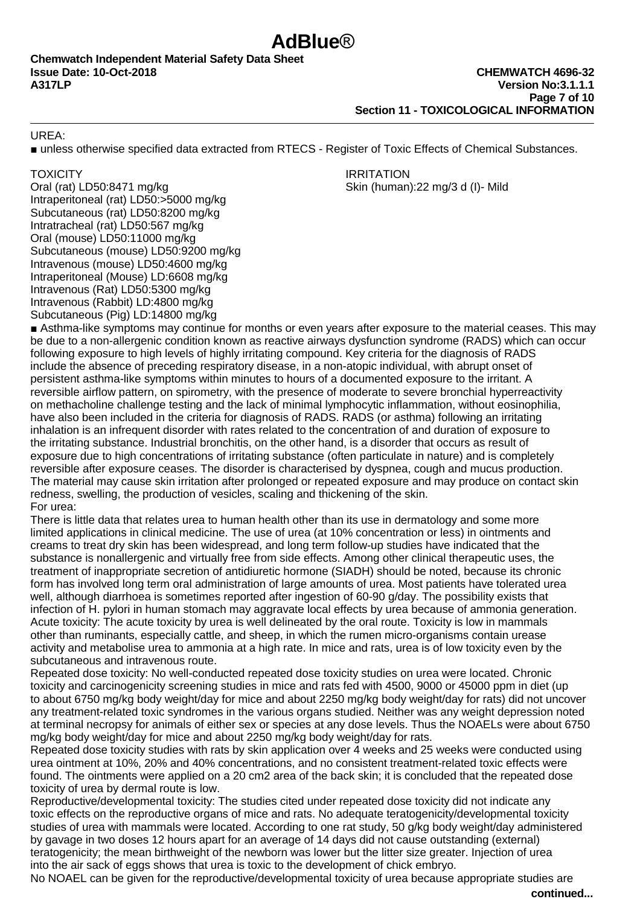UREA:

■ unless otherwise specified data extracted from RTECS - Register of Toxic Effects of Chemical Substances.

Oral (rat) LD50:8471 mg/kg Skin (human):22 mg/3 d (l)- Mild Intraperitoneal (rat) LD50:>5000 mg/kg Subcutaneous (rat) LD50:8200 mg/kg Intratracheal (rat) LD50:567 mg/kg Oral (mouse) LD50:11000 mg/kg Subcutaneous (mouse) LD50:9200 mg/kg Intravenous (mouse) LD50:4600 mg/kg Intraperitoneal (Mouse) LD:6608 mg/kg Intravenous (Rat) LD50:5300 mg/kg Intravenous (Rabbit) LD:4800 mg/kg Subcutaneous (Pig) LD:14800 mg/kg

TOXICITY **IRRITATION** 

■ Asthma-like symptoms may continue for months or even years after exposure to the material ceases. This may be due to a non-allergenic condition known as reactive airways dysfunction syndrome (RADS) which can occur following exposure to high levels of highly irritating compound. Key criteria for the diagnosis of RADS include the absence of preceding respiratory disease, in a non-atopic individual, with abrupt onset of persistent asthma-like symptoms within minutes to hours of a documented exposure to the irritant. A reversible airflow pattern, on spirometry, with the presence of moderate to severe bronchial hyperreactivity on methacholine challenge testing and the lack of minimal lymphocytic inflammation, without eosinophilia, have also been included in the criteria for diagnosis of RADS. RADS (or asthma) following an irritating inhalation is an infrequent disorder with rates related to the concentration of and duration of exposure to the irritating substance. Industrial bronchitis, on the other hand, is a disorder that occurs as result of exposure due to high concentrations of irritating substance (often particulate in nature) and is completely reversible after exposure ceases. The disorder is characterised by dyspnea, cough and mucus production. The material may cause skin irritation after prolonged or repeated exposure and may produce on contact skin redness, swelling, the production of vesicles, scaling and thickening of the skin. For urea:

There is little data that relates urea to human health other than its use in dermatology and some more limited applications in clinical medicine. The use of urea (at 10% concentration or less) in ointments and creams to treat dry skin has been widespread, and long term follow-up studies have indicated that the substance is nonallergenic and virtually free from side effects. Among other clinical therapeutic uses, the treatment of inappropriate secretion of antidiuretic hormone (SIADH) should be noted, because its chronic form has involved long term oral administration of large amounts of urea. Most patients have tolerated urea well, although diarrhoea is sometimes reported after ingestion of 60-90 g/day. The possibility exists that infection of H. pylori in human stomach may aggravate local effects by urea because of ammonia generation. Acute toxicity: The acute toxicity by urea is well delineated by the oral route. Toxicity is low in mammals other than ruminants, especially cattle, and sheep, in which the rumen micro-organisms contain urease activity and metabolise urea to ammonia at a high rate. In mice and rats, urea is of low toxicity even by the subcutaneous and intravenous route.

Repeated dose toxicity: No well-conducted repeated dose toxicity studies on urea were located. Chronic toxicity and carcinogenicity screening studies in mice and rats fed with 4500, 9000 or 45000 ppm in diet (up to about 6750 mg/kg body weight/day for mice and about 2250 mg/kg body weight/day for rats) did not uncover any treatment-related toxic syndromes in the various organs studied. Neither was any weight depression noted at terminal necropsy for animals of either sex or species at any dose levels. Thus the NOAELs were about 6750 mg/kg body weight/day for mice and about 2250 mg/kg body weight/day for rats.

Repeated dose toxicity studies with rats by skin application over 4 weeks and 25 weeks were conducted using urea ointment at 10%, 20% and 40% concentrations, and no consistent treatment-related toxic effects were found. The ointments were applied on a 20 cm2 area of the back skin; it is concluded that the repeated dose toxicity of urea by dermal route is low.

Reproductive/developmental toxicity: The studies cited under repeated dose toxicity did not indicate any toxic effects on the reproductive organs of mice and rats. No adequate teratogenicity/developmental toxicity studies of urea with mammals were located. According to one rat study, 50 g/kg body weight/day administered by gavage in two doses 12 hours apart for an average of 14 days did not cause outstanding (external) teratogenicity; the mean birthweight of the newborn was lower but the litter size greater. Injection of urea into the air sack of eggs shows that urea is toxic to the development of chick embryo.

No NOAEL can be given for the reproductive/developmental toxicity of urea because appropriate studies are

**continued...**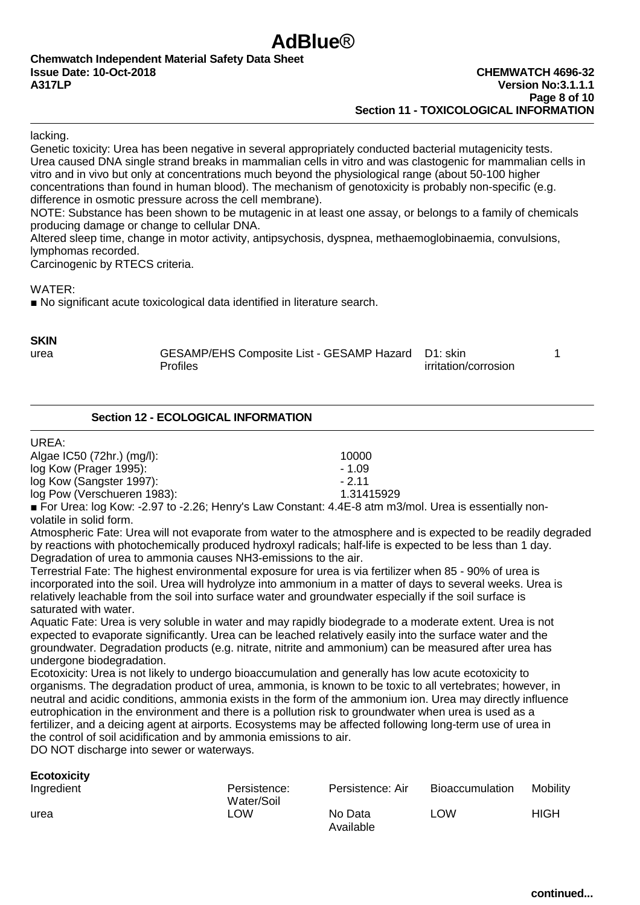lacking.

Genetic toxicity: Urea has been negative in several appropriately conducted bacterial mutagenicity tests. Urea caused DNA single strand breaks in mammalian cells in vitro and was clastogenic for mammalian cells in vitro and in vivo but only at concentrations much beyond the physiological range (about 50-100 higher concentrations than found in human blood). The mechanism of genotoxicity is probably non-specific (e.g. difference in osmotic pressure across the cell membrane).

**AdBlue**®

NOTE: Substance has been shown to be mutagenic in at least one assay, or belongs to a family of chemicals producing damage or change to cellular DNA.

Altered sleep time, change in motor activity, antipsychosis, dyspnea, methaemoglobinaemia, convulsions, lymphomas recorded.

Carcinogenic by RTECS criteria.

WATER:

■ No significant acute toxicological data identified in literature search.

**SKIN**

urea GESAMP/EHS Composite List - GESAMP Hazard D1: skin 1<br>Profiles Profiles irritation/corrosion

### **Section 12 - ECOLOGICAL INFORMATION**

### UREA:

**Ecotoxicity**

| Algae IC50 (72hr.) (mg/l):  | 10000      |
|-----------------------------|------------|
| log Kow (Prager 1995):      | $-1.09$    |
| log Kow (Sangster 1997):    | - 2 11     |
| log Pow (Verschueren 1983): | 1.31415929 |
|                             |            |

■ For Urea: log Kow: -2.97 to -2.26; Henry's Law Constant: 4.4E-8 atm m3/mol. Urea is essentially nonvolatile in solid form.

Atmospheric Fate: Urea will not evaporate from water to the atmosphere and is expected to be readily degraded by reactions with photochemically produced hydroxyl radicals; half-life is expected to be less than 1 day. Degradation of urea to ammonia causes NH3-emissions to the air.

Terrestrial Fate: The highest environmental exposure for urea is via fertilizer when 85 - 90% of urea is incorporated into the soil. Urea will hydrolyze into ammonium in a matter of days to several weeks. Urea is relatively leachable from the soil into surface water and groundwater especially if the soil surface is saturated with water.

Aquatic Fate: Urea is very soluble in water and may rapidly biodegrade to a moderate extent. Urea is not expected to evaporate significantly. Urea can be leached relatively easily into the surface water and the groundwater. Degradation products (e.g. nitrate, nitrite and ammonium) can be measured after urea has undergone biodegradation.

Ecotoxicity: Urea is not likely to undergo bioaccumulation and generally has low acute ecotoxicity to organisms. The degradation product of urea, ammonia, is known to be toxic to all vertebrates; however, in neutral and acidic conditions, ammonia exists in the form of the ammonium ion. Urea may directly influence eutrophication in the environment and there is a pollution risk to groundwater when urea is used as a fertilizer, and a deicing agent at airports. Ecosystems may be affected following long-term use of urea in the control of soil acidification and by ammonia emissions to air.

DO NOT discharge into sewer or waterways.

| <b>ECOLOXIGILY</b><br>Ingredient | Persistence:<br>Water/Soil | Persistence: Air     | Bioaccumulation | Mobility    |
|----------------------------------|----------------------------|----------------------|-----------------|-------------|
| urea                             | LOW.                       | No Data<br>Available | LOW             | <b>HIGH</b> |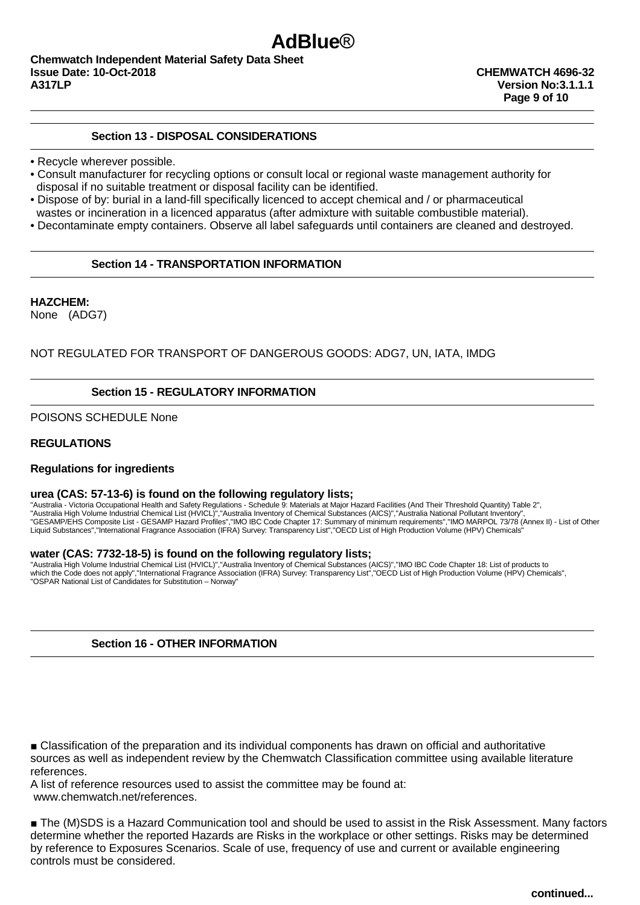### **Section 13 - DISPOSAL CONSIDERATIONS**

- Recycle wherever possible.
- Consult manufacturer for recycling options or consult local or regional waste management authority for disposal if no suitable treatment or disposal facility can be identified.
- Dispose of by: burial in a land-fill specifically licenced to accept chemical and / or pharmaceutical wastes or incineration in a licenced apparatus (after admixture with suitable combustible material).
- Decontaminate empty containers. Observe all label safeguards until containers are cleaned and destroyed.

**AdBlue**®

### **Section 14 - TRANSPORTATION INFORMATION**

**HAZCHEM:**  None (ADG7)

NOT REGULATED FOR TRANSPORT OF DANGEROUS GOODS: ADG7, UN, IATA, IMDG

### **Section 15 - REGULATORY INFORMATION**

POISONS SCHEDULE None

#### **REGULATIONS**

#### **Regulations for ingredients**

#### **urea (CAS: 57-13-6) is found on the following regulatory lists;**

"Australia - Victoria Occupational Health and Safety Regulations - Schedule 9: Materials at Major Hazard Facilities (And Their Threshold Quantity) Table 2",<br>"Australia High Volume Industrial Chemical List (HVICL)","Austral Liquid Substances","International Fragrance Association (IFRA) Survey: Transparency List","OECD List of High Production Volume (HPV) Chemicals"

#### **water (CAS: 7732-18-5) is found on the following regulatory lists;**

"Australia High Volume Industrial Chemical List (HVICL)","Australia Inventory of Chemical Substances (AICS)","IMO IBC Code Chapter 18: List of products to which the Code does not apply","International Fragrance Association (IFRA) Survey: Transparency List","OECD List of High Production Volume (HPV) Chemicals",<br>"OSPAR National List of Candidates for Substitution – Norway"

### **Section 16 - OTHER INFORMATION**

■ Classification of the preparation and its individual components has drawn on official and authoritative sources as well as independent review by the Chemwatch Classification committee using available literature references.

A list of reference resources used to assist the committee may be found at: www.chemwatch.net/references.

■ The (M)SDS is a Hazard Communication tool and should be used to assist in the Risk Assessment. Many factors determine whether the reported Hazards are Risks in the workplace or other settings. Risks may be determined by reference to Exposures Scenarios. Scale of use, frequency of use and current or available engineering controls must be considered.

**continued...**